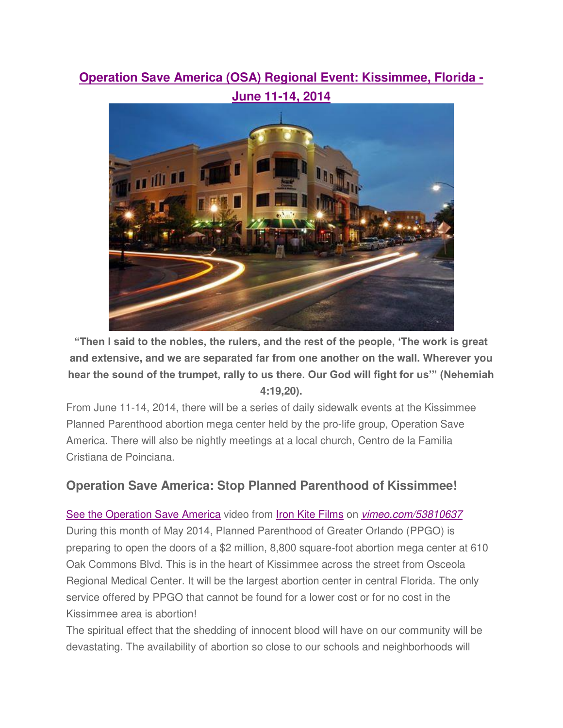## **[Operation Save America \(OSA\) Regional Event: Kissimmee, Florida -](http://go.netatlantic.com/t/27176510/87331593/347230/73/)**



**"Then I said to the nobles, the rulers, and the rest of the people, 'The work is great and extensive, and we are separated far from one another on the wall. Wherever you hear the sound of the trumpet, rally to us there. Our God will fight for us'" (Nehemiah 4:19,20).**

From June 11-14, 2014, there will be a series of daily sidewalk events at the Kissimmee Planned Parenthood abortion mega center held by the pro-life group, Operation Save America. There will also be nightly meetings at a local church, Centro de la Familia Cristiana de Poinciana.

## **Operation Save America: Stop Planned Parenthood of Kissimmee!**

[See the Operation Save America](http://go.netatlantic.com/t/27176510/87331593/347231/75/) video from [Iron Kite Films](http://go.netatlantic.com/t/27176510/87331593/347232/76/) on [vimeo.com/53810637](http://go.netatlantic.com/t/27176510/87331593/347231/77/) During this month of May 2014, Planned Parenthood of Greater Orlando (PPGO) is preparing to open the doors of a \$2 million, 8,800 square-foot abortion mega center at 610 Oak Commons Blvd. This is in the heart of Kissimmee across the street from Osceola Regional Medical Center. It will be the largest abortion center in central Florida. The only service offered by PPGO that cannot be found for a lower cost or for no cost in the Kissimmee area is abortion!

The spiritual effect that the shedding of innocent blood will have on our community will be devastating. The availability of abortion so close to our schools and neighborhoods will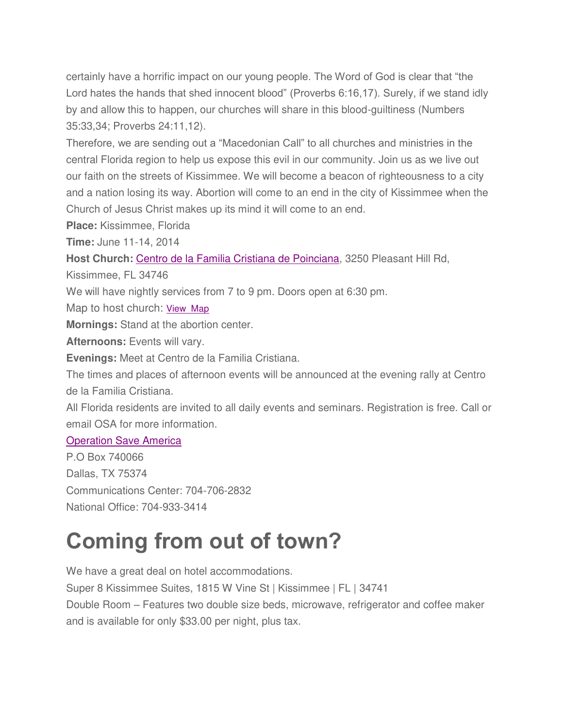certainly have a horrific impact on our young people. The Word of God is clear that "the Lord hates the hands that shed innocent blood" (Proverbs 6:16,17). Surely, if we stand idly by and allow this to happen, our churches will share in this blood-guiltiness (Numbers 35:33,34; Proverbs 24:11,12).

Therefore, we are sending out a "Macedonian Call" to all churches and ministries in the central Florida region to help us expose this evil in our community. Join us as we live out our faith on the streets of Kissimmee. We will become a beacon of righteousness to a city and a nation losing its way. Abortion will come to an end in the city of Kissimmee when the Church of Jesus Christ makes up its mind it will come to an end.

**Place:** Kissimmee, Florida

**Time:** June 11-14, 2014

**Host Church:** [Centro de la Familia Cristiana de Poinciana,](http://go.netatlantic.com/t/27176510/87331593/347233/78/) 3250 Pleasant Hill Rd,

Kissimmee, FL 34746

We will have nightly services from 7 to 9 pm. Doors open at 6:30 pm.

Map to host church: [View Map](http://go.netatlantic.com/t/27176510/87331593/347234/79/)

**Mornings:** Stand at the abortion center.

**Afternoons:** Events will vary.

**Evenings:** Meet at Centro de la Familia Cristiana.

The times and places of afternoon events will be announced at the evening rally at Centro de la Familia Cristiana.

All Florida residents are invited to all daily events and seminars. Registration is free. Call or email OSA for more information.

## [Operation Save America](http://go.netatlantic.com/t/27176510/87331593/347235/80/)

P.O Box 740066 Dallas, TX 75374 Communications Center: 704-706-2832 National Office: 704-933-3414

## **Coming from out of town?**

We have a great deal on hotel accommodations. Super 8 Kissimmee Suites, 1815 W Vine St | Kissimmee | FL | 34741 Double Room – Features two double size beds, microwave, refrigerator and coffee maker and is available for only \$33.00 per night, plus tax.